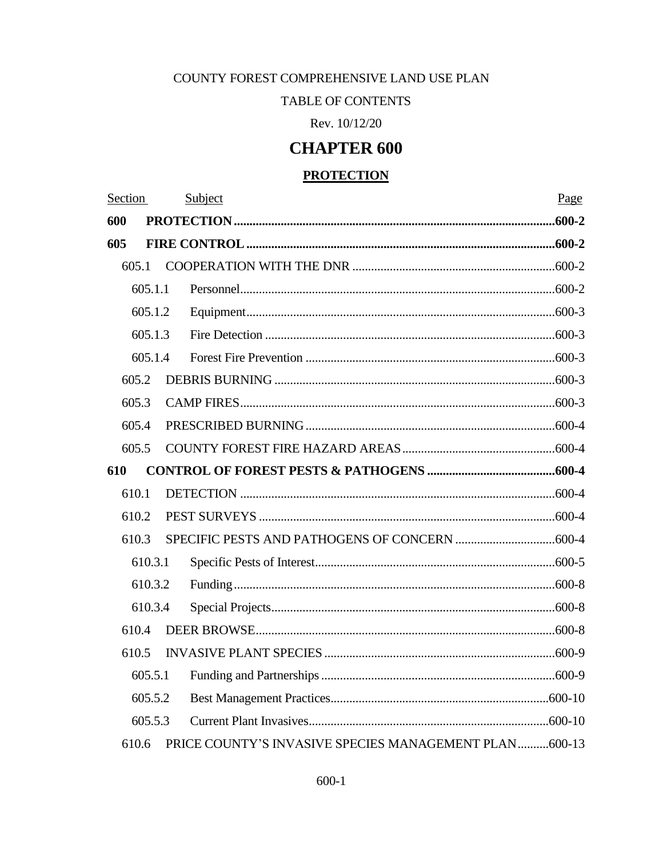## COUNTY FOREST COMPREHENSIVE LAND USE PLAN

## TABLE OF CONTENTS

Rev. 10/12/20

# **CHAPTER 600**

## **PROTECTION**

| Section |         | Subject | Page |
|---------|---------|---------|------|
| 600     |         |         |      |
| 605     |         |         |      |
|         | 605.1   |         |      |
|         | 605.1.1 |         |      |
|         | 605.1.2 |         |      |
|         | 605.1.3 |         |      |
|         | 605.1.4 |         |      |
|         | 605.2   |         |      |
|         | 605.3   |         |      |
|         | 605.4   |         |      |
|         | 605.5   |         |      |
| 610     |         |         |      |
|         | 610.1   |         |      |
|         | 610.2   |         |      |
|         | 610.3   |         |      |
|         | 610.3.1 |         |      |
|         | 610.3.2 |         |      |
| 610.3.4 |         |         |      |
|         | 610.4   |         |      |
|         | 610.5   |         |      |
| 605.5.1 |         |         |      |
| 605.5.2 |         |         |      |
|         | 605.5.3 |         |      |
|         |         |         |      |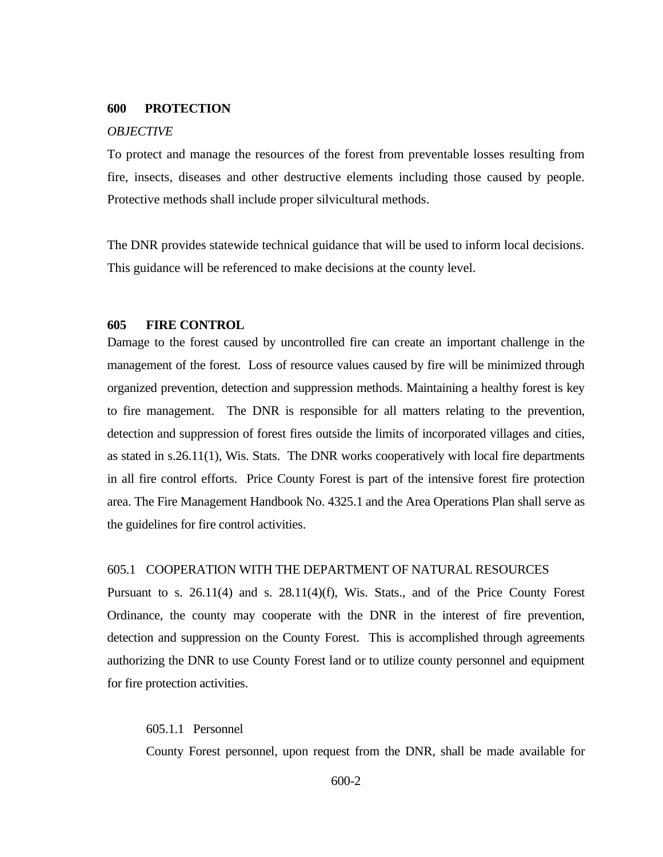#### <span id="page-1-0"></span>**600 PROTECTION**

#### *OBJECTIVE*

To protect and manage the resources of the forest from preventable losses resulting from fire, insects, diseases and other destructive elements including those caused by people. Protective methods shall include proper silvicultural methods.

The DNR provides statewide technical guidance that will be used to inform local decisions. This guidance will be referenced to make decisions at the county level.

#### <span id="page-1-1"></span>**605 FIRE CONTROL**

Damage to the forest caused by uncontrolled fire can create an important challenge in the management of the forest. Loss of resource values caused by fire will be minimized through organized prevention, detection and suppression methods. Maintaining a healthy forest is key to fire management. The DNR is responsible for all matters relating to the prevention, detection and suppression of forest fires outside the limits of incorporated villages and cities, as stated in s.26.11(1), Wis. Stats. The DNR works cooperatively with local fire departments in all fire control efforts. Price County Forest is part of the intensive forest fire protection area. The Fire Management Handbook No. 4325.1 and the Area Operations Plan shall serve as the guidelines for fire control activities.

#### <span id="page-1-2"></span>605.1 COOPERATION WITH THE DEPARTMENT OF NATURAL RESOURCES

Pursuant to s. 26.11(4) and s. 28.11(4)(f), Wis. Stats., and of the Price County Forest Ordinance, the county may cooperate with the DNR in the interest of fire prevention, detection and suppression on the County Forest. This is accomplished through agreements authorizing the DNR to use County Forest land or to utilize county personnel and equipment for fire protection activities.

#### <span id="page-1-3"></span>605.1.1 Personnel

County Forest personnel, upon request from the DNR, shall be made available for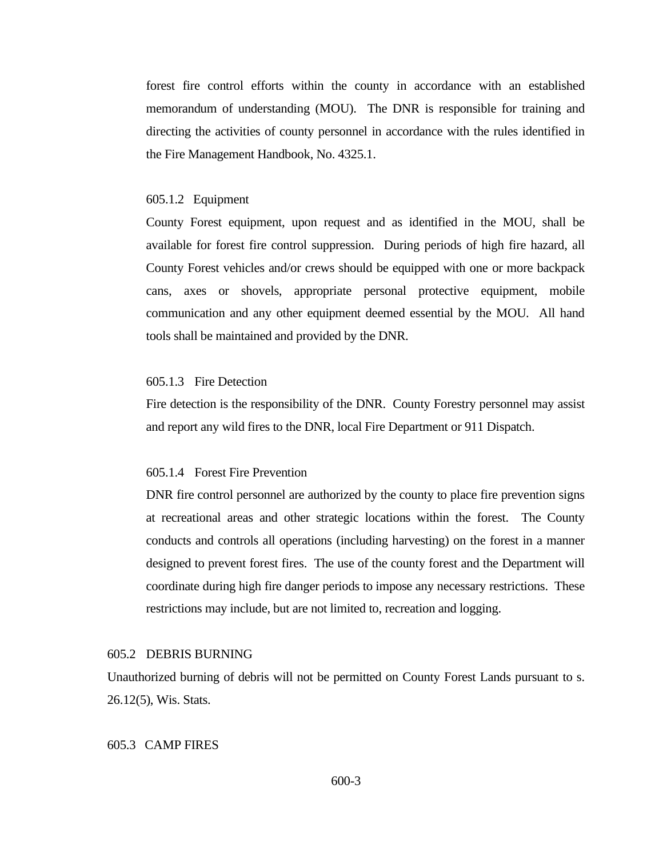forest fire control efforts within the county in accordance with an established memorandum of understanding (MOU). The DNR is responsible for training and directing the activities of county personnel in accordance with the rules identified in the Fire Management Handbook, No. 4325.1.

#### <span id="page-2-0"></span>605.1.2Equipment

County Forest equipment, upon request and as identified in the MOU, shall be available for forest fire control suppression. During periods of high fire hazard, all County Forest vehicles and/or crews should be equipped with one or more backpack cans, axes or shovels, appropriate personal protective equipment, mobile communication and any other equipment deemed essential by the MOU. All hand tools shall be maintained and provided by the DNR.

## <span id="page-2-1"></span>605.1.3Fire Detection

Fire detection is the responsibility of the DNR. County Forestry personnel may assist and report any wild fires to the DNR, local Fire Department or 911 Dispatch.

## <span id="page-2-2"></span>605.1.4 Forest Fire Prevention

DNR fire control personnel are authorized by the county to place fire prevention signs at recreational areas and other strategic locations within the forest. The County conducts and controls all operations (including harvesting) on the forest in a manner designed to prevent forest fires. The use of the county forest and the Department will coordinate during high fire danger periods to impose any necessary restrictions. These restrictions may include, but are not limited to, recreation and logging.

## <span id="page-2-3"></span>605.2 DEBRIS BURNING

Unauthorized burning of debris will not be permitted on County Forest Lands pursuant to s. 26.12(5), Wis. Stats.

### <span id="page-2-4"></span>605.3CAMP FIRES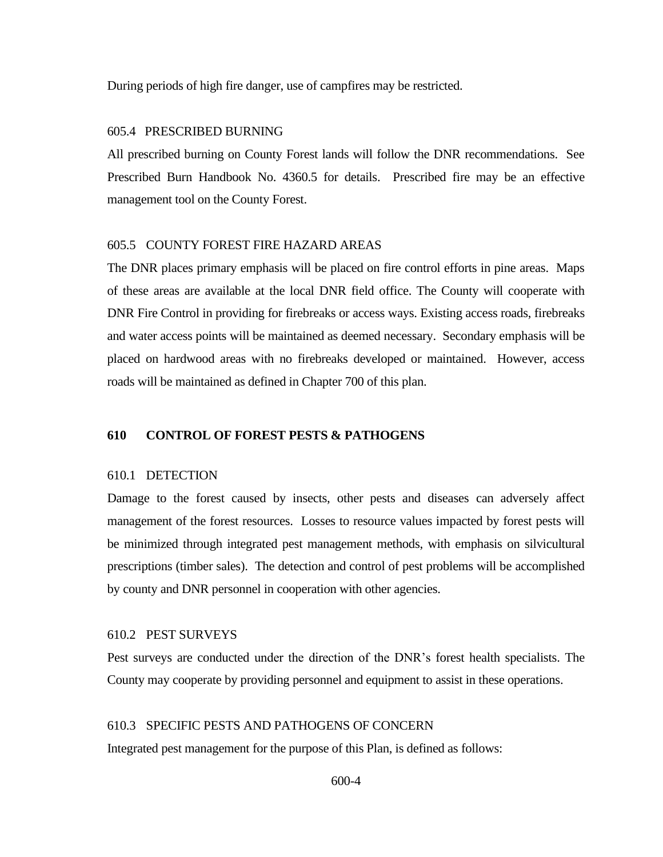During periods of high fire danger, use of campfires may be restricted.

### <span id="page-3-0"></span>605.4PRESCRIBED BURNING

All prescribed burning on County Forest lands will follow the DNR recommendations. See Prescribed Burn Handbook No. 4360.5 for details. Prescribed fire may be an effective management tool on the County Forest.

## <span id="page-3-1"></span>605.5 COUNTY FOREST FIRE HAZARD AREAS

The DNR places primary emphasis will be placed on fire control efforts in pine areas. Maps of these areas are available at the local DNR field office. The County will cooperate with DNR Fire Control in providing for firebreaks or access ways. Existing access roads, firebreaks and water access points will be maintained as deemed necessary. Secondary emphasis will be placed on hardwood areas with no firebreaks developed or maintained. However, access roads will be maintained as defined in Chapter 700 of this plan.

## <span id="page-3-2"></span>**610 CONTROL OF FOREST PESTS & PATHOGENS**

### <span id="page-3-3"></span>610.1 DETECTION

Damage to the forest caused by insects, other pests and diseases can adversely affect management of the forest resources. Losses to resource values impacted by forest pests will be minimized through integrated pest management methods, with emphasis on silvicultural prescriptions (timber sales). The detection and control of pest problems will be accomplished by county and DNR personnel in cooperation with other agencies.

## <span id="page-3-4"></span>610.2 PEST SURVEYS

Pest surveys are conducted under the direction of the DNR's forest health specialists. The County may cooperate by providing personnel and equipment to assist in these operations.

## <span id="page-3-5"></span>610.3 SPECIFIC PESTS AND PATHOGENS OF CONCERN

Integrated pest management for the purpose of this Plan, is defined as follows:

600-4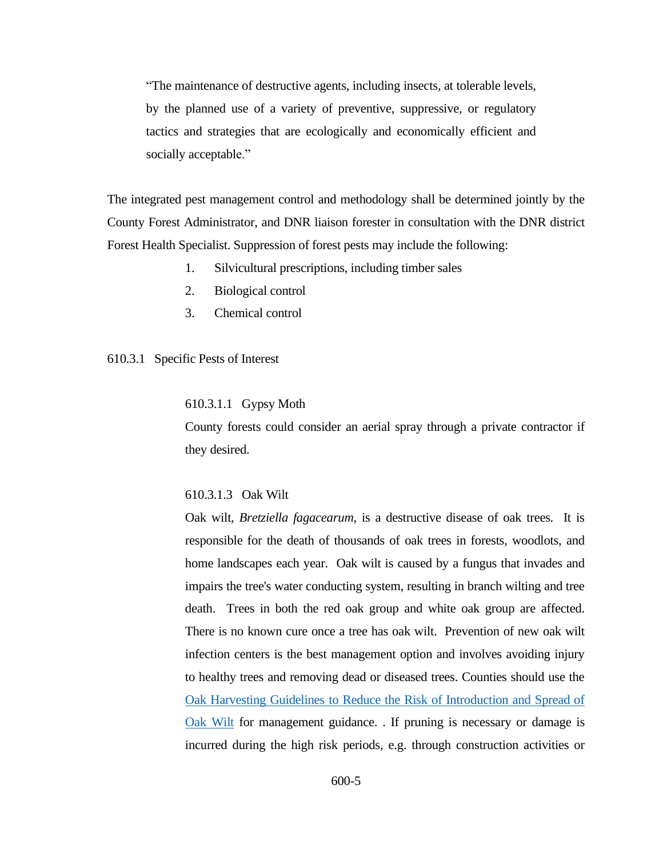"The maintenance of destructive agents, including insects, at tolerable levels, by the planned use of a variety of preventive, suppressive, or regulatory tactics and strategies that are ecologically and economically efficient and socially acceptable."

The integrated pest management control and methodology shall be determined jointly by the County Forest Administrator, and DNR liaison forester in consultation with the DNR district Forest Health Specialist. Suppression of forest pests may include the following:

- 1. Silvicultural prescriptions, including timber sales
- 2. Biological control
- <span id="page-4-0"></span>3. Chemical control

## 610.3.1 Specific Pests of Interest

## 610.3.1.1 Gypsy Moth

County forests could consider an aerial spray through a private contractor if they desired.

#### 610.3.1.3 Oak Wilt

Oak wilt*, Bretziella fagacearum,* is a destructive disease of oak trees. It is responsible for the death of thousands of oak trees in forests, woodlots, and home landscapes each year. Oak wilt is caused by a fungus that invades and impairs the tree's water conducting system, resulting in branch wilting and tree death. Trees in both the red oak group and white oak group are affected. There is no known cure once a tree has oak wilt. Prevention of new oak wilt infection centers is the best management option and involves avoiding injury to healthy trees and removing dead or diseased trees. Counties should use the [Oak Harvesting Guidelines to Reduce the Risk of Introduction and Spread of](https://embed.widencdn.net/pdf/download/widnr/aqszuho7ee/Oak-Harvesting-Guidelines-Web-version.pdf?u=lhzbht&showinbrowser=true)  [Oak Wilt](https://embed.widencdn.net/pdf/download/widnr/aqszuho7ee/Oak-Harvesting-Guidelines-Web-version.pdf?u=lhzbht&showinbrowser=true) for management guidance. . If pruning is necessary or damage is incurred during the high risk periods, e.g. through construction activities or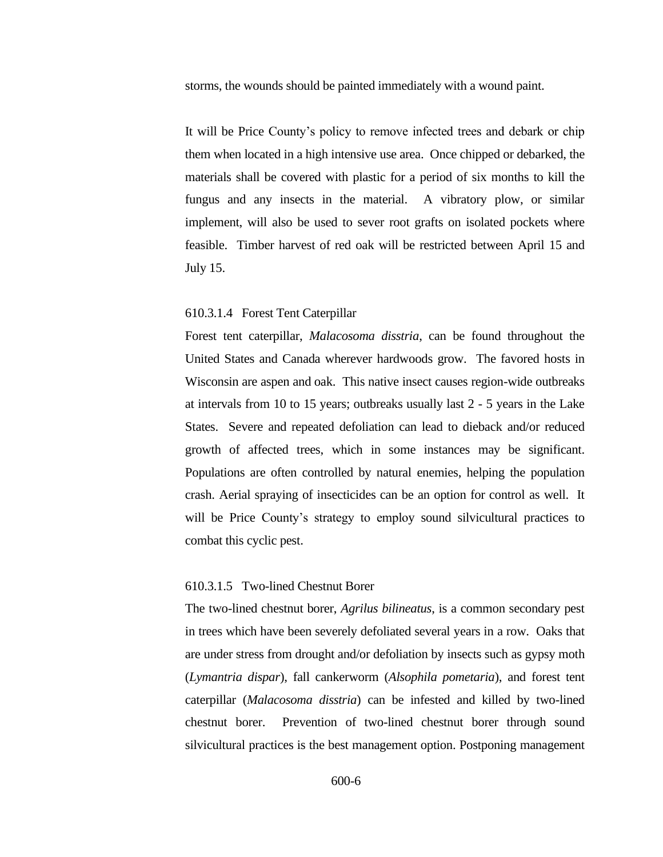storms, the wounds should be painted immediately with a wound paint.

It will be Price County's policy to remove infected trees and debark or chip them when located in a high intensive use area. Once chipped or debarked, the materials shall be covered with plastic for a period of six months to kill the fungus and any insects in the material. A vibratory plow, or similar implement, will also be used to sever root grafts on isolated pockets where feasible. Timber harvest of red oak will be restricted between April 15 and July 15.

#### 610.3.1.4 Forest Tent Caterpillar

Forest tent caterpillar, *Malacosoma disstria*, can be found throughout the United States and Canada wherever hardwoods grow. The favored hosts in Wisconsin are aspen and oak. This native insect causes region-wide outbreaks at intervals from 10 to 15 years; outbreaks usually last 2 - 5 years in the Lake States. Severe and repeated defoliation can lead to dieback and/or reduced growth of affected trees, which in some instances may be significant. Populations are often controlled by natural enemies, helping the population crash. Aerial spraying of insecticides can be an option for control as well. It will be Price County's strategy to employ sound silvicultural practices to combat this cyclic pest.

#### 610.3.1.5 Two-lined Chestnut Borer

The two-lined chestnut borer, *Agrilus bilineatus*, is a common secondary pest in trees which have been severely defoliated several years in a row. Oaks that are under stress from drought and/or defoliation by insects such as gypsy moth (*Lymantria dispar*), fall cankerworm (*Alsophila pometaria*), and forest tent caterpillar (*Malacosoma disstria*) can be infested and killed by two-lined chestnut borer. Prevention of two-lined chestnut borer through sound silvicultural practices is the best management option. Postponing management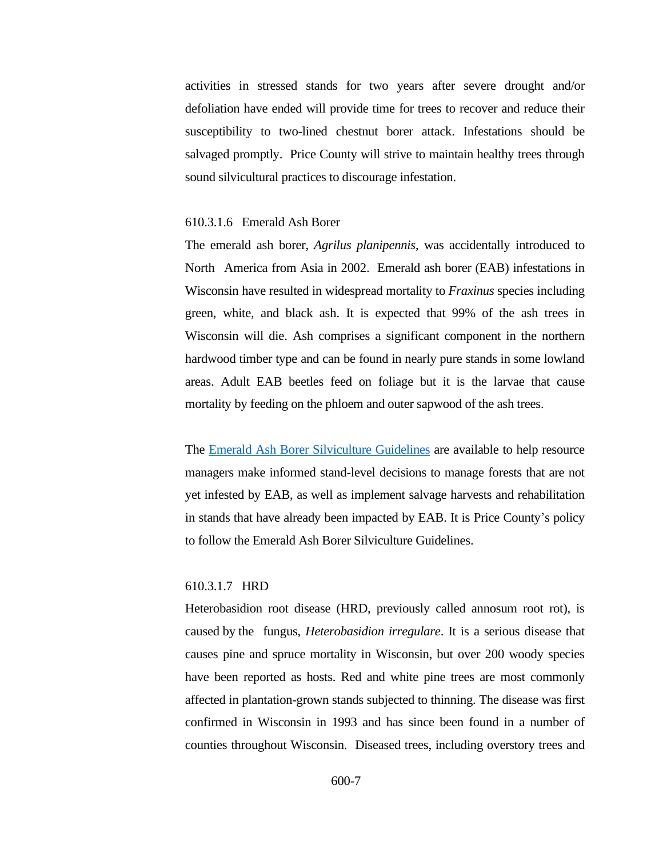activities in stressed stands for two years after severe drought and/or defoliation have ended will provide time for trees to recover and reduce their susceptibility to two-lined chestnut borer attack. Infestations should be salvaged promptly. Price County will strive to maintain healthy trees through sound silvicultural practices to discourage infestation.

## 610.3.1.6 Emerald Ash Borer

The emerald ash borer, *Agrilus planipennis*, was accidentally introduced to North America from Asia in 2002. Emerald ash borer (EAB) infestations in Wisconsin have resulted in widespread mortality to *Fraxinus* species including green, white, and black ash. It is expected that 99% of the ash trees in Wisconsin will die. Ash comprises a significant component in the northern hardwood timber type and can be found in nearly pure stands in some lowland areas. Adult EAB beetles feed on foliage but it is the larvae that cause mortality by feeding on the phloem and outer sapwood of the ash trees.

The [Emerald Ash Borer Silviculture Guidelines](https://dnr.wi.gov/topic/ForestHealth/documents/EABWIManagementGuidelines.pdf) are available to help resource managers make informed stand-level decisions to manage forests that are not yet infested by EAB, as well as implement salvage harvests and rehabilitation in stands that have already been impacted by EAB. It is Price County's policy to follow the Emerald Ash Borer Silviculture Guidelines.

### 610.3.1.7 HRD

Heterobasidion root disease (HRD, previously called annosum root rot), is caused by the fungus, *Heterobasidion irregulare*. It is a serious disease that causes pine and spruce mortality in Wisconsin, but over 200 woody species have been reported as hosts. Red and white pine trees are most commonly affected in plantation-grown stands subjected to thinning. The disease was first confirmed in Wisconsin in 1993 and has since been found in a number of counties throughout Wisconsin. Diseased trees, including overstory trees and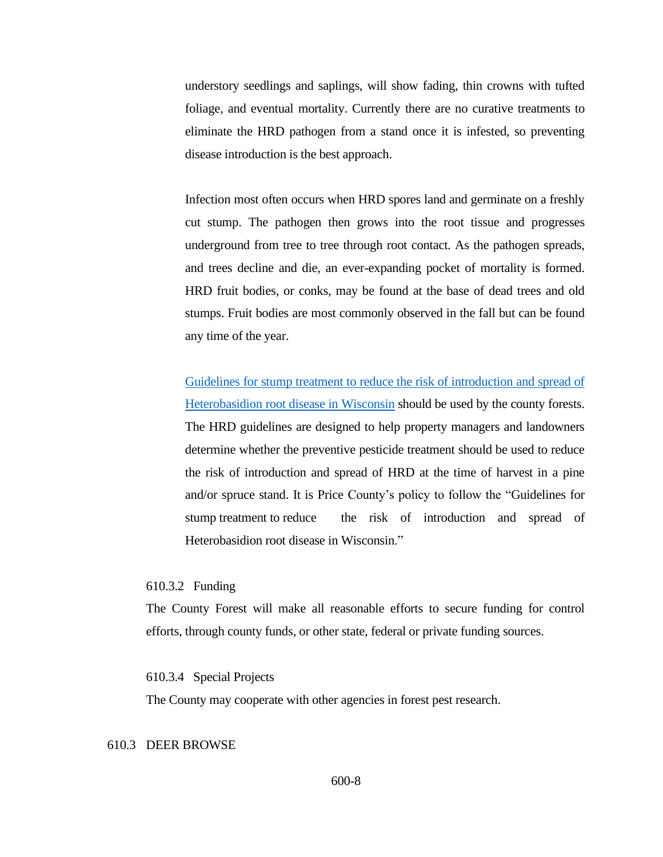understory seedlings and saplings, will show fading, thin crowns with tufted foliage, and eventual mortality. Currently there are no curative treatments to eliminate the HRD pathogen from a stand once it is infested, so preventing disease introduction is the best approach.

Infection most often occurs when HRD spores land and germinate on a freshly cut stump. The pathogen then grows into the root tissue and progresses underground from tree to tree through root contact. As the pathogen spreads, and trees decline and die, an ever-expanding pocket of mortality is formed. HRD fruit bodies, or conks, may be found at the base of dead trees and old stumps. Fruit bodies are most commonly observed in the fall but can be found any time of the year.

[Guidelines for stump treatment to reduce the](https://embed.widencdn.net/pdf/download/widnr/049sbfkidg/AnnosumTreatmentGuide.pdf?u=4gqjgf&showinbrowser=true) risk of introduction and spread of [Heterobasidion root disease in Wisconsin](https://embed.widencdn.net/pdf/download/widnr/049sbfkidg/AnnosumTreatmentGuide.pdf?u=4gqjgf&showinbrowser=true) should be used by the county forests. The HRD guidelines are designed to help property managers and landowners determine whether the preventive pesticide treatment should be used to reduce the risk of introduction and spread of HRD at the time of harvest in a pine and/or spruce stand. It is Price County's policy to follow the "Guidelines for stump treatment to reduce the risk of introduction and spread of Heterobasidion root disease in Wisconsin."

#### <span id="page-7-0"></span>610.3.2 Funding

The County Forest will make all reasonable efforts to secure funding for control efforts, through county funds, or other state, federal or private funding sources.

<span id="page-7-1"></span>610.3.4 Special Projects

The County may cooperate with other agencies in forest pest research.

## <span id="page-7-2"></span>610.3 DEER BROWSE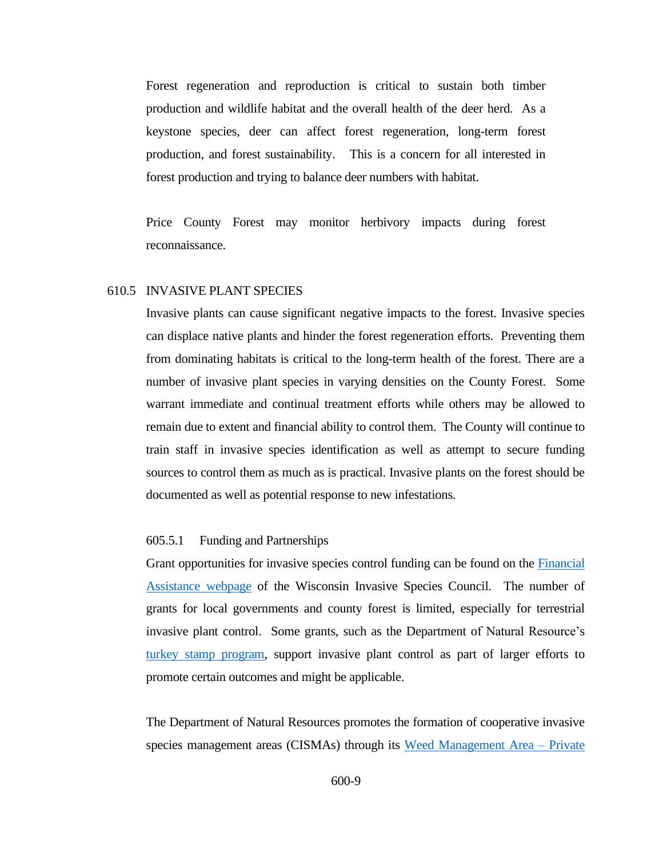Forest regeneration and reproduction is critical to sustain both timber production and wildlife habitat and the overall health of the deer herd. As a keystone species, deer can affect forest regeneration, long-term forest production, and forest sustainability. This is a concern for all interested in forest production and trying to balance deer numbers with habitat.

Price County Forest may monitor herbivory impacts during forest reconnaissance.

#### <span id="page-8-0"></span>610.5 INVASIVE PLANT SPECIES

Invasive plants can cause significant negative impacts to the forest. Invasive species can displace native plants and hinder the forest regeneration efforts. Preventing them from dominating habitats is critical to the long-term health of the forest. There are a number of invasive plant species in varying densities on the County Forest. Some warrant immediate and continual treatment efforts while others may be allowed to remain due to extent and financial ability to control them. The County will continue to train staff in invasive species identification as well as attempt to secure funding sources to control them as much as is practical. Invasive plants on the forest should be documented as well as potential response to new infestations.

## <span id="page-8-1"></span>605.5.1 Funding and Partnerships

Grant opportunities for invasive species control funding can be found on the [Financial](http://invasivespecies.wi.gov/financial-assistance/)  [Assistance webpage](http://invasivespecies.wi.gov/financial-assistance/) of the Wisconsin Invasive Species Council. The number of grants for local governments and county forest is limited, especially for terrestrial invasive plant control. Some grants, such as the Department of Natural Resource's [turkey stamp program,](https://dnr.wi.gov/topic/WildlifeHabitat/stamps.html) support invasive plant control as part of larger efforts to promote certain outcomes and might be applicable.

The Department of Natural Resources promotes the formation of cooperative invasive species management areas (CISMAs) through its [Weed Management Area –](https://dnr.wi.gov/Aid/WMA.html) Private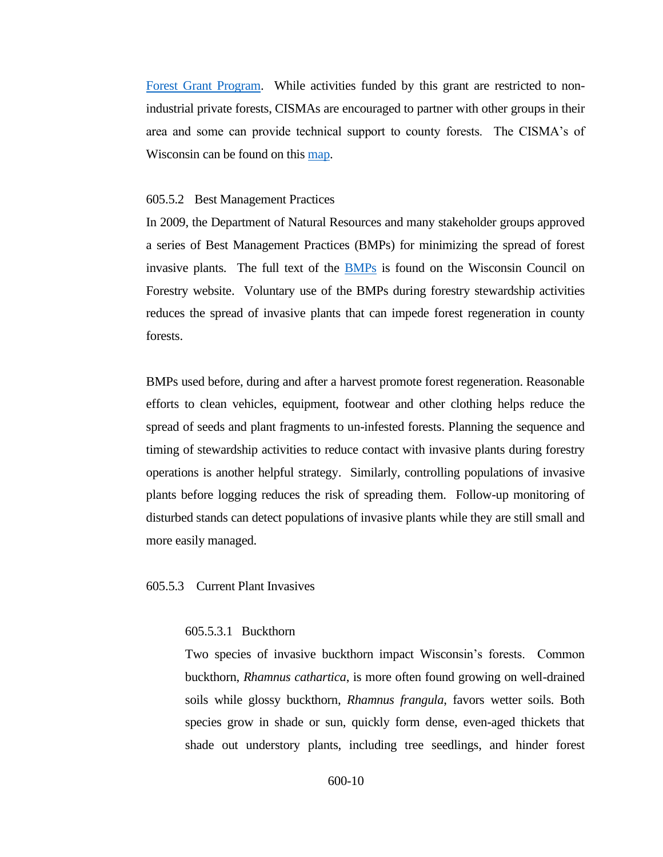[Forest Grant Program.](https://dnr.wi.gov/Aid/WMA.html) While activities funded by this grant are restricted to nonindustrial private forests, CISMAs are encouraged to partner with other groups in their area and some can provide technical support to county forests. The CISMA's of Wisconsin can be found on this [map.](https://ipaw.org/quick-links/cismas/)

#### <span id="page-9-0"></span>605.5.2 Best Management Practices

In 2009, the Department of Natural Resources and many stakeholder groups approved a series of Best Management Practices (BMPs) for minimizing the spread of forest invasive plants. The full text of the [BMPs](https://councilonforestry.wi.gov/Pages/InvasiveSpecies/Forestry.aspx) is found on the Wisconsin Council on Forestry website. Voluntary use of the BMPs during forestry stewardship activities reduces the spread of invasive plants that can impede forest regeneration in county forests.

BMPs used before, during and after a harvest promote forest regeneration. Reasonable efforts to clean vehicles, equipment, footwear and other clothing helps reduce the spread of seeds and plant fragments to un-infested forests. Planning the sequence and timing of stewardship activities to reduce contact with invasive plants during forestry operations is another helpful strategy. Similarly, controlling populations of invasive plants before logging reduces the risk of spreading them. Follow-up monitoring of disturbed stands can detect populations of invasive plants while they are still small and more easily managed.

<span id="page-9-1"></span>605.5.3Current Plant Invasives

#### 605.5.3.1 Buckthorn

Two species of invasive buckthorn impact Wisconsin's forests. Common buckthorn, *Rhamnus cathartica*, is more often found growing on well-drained soils while glossy buckthorn, *Rhamnus frangula*, favors wetter soils. Both species grow in shade or sun, quickly form dense, even-aged thickets that shade out understory plants, including tree seedlings, and hinder forest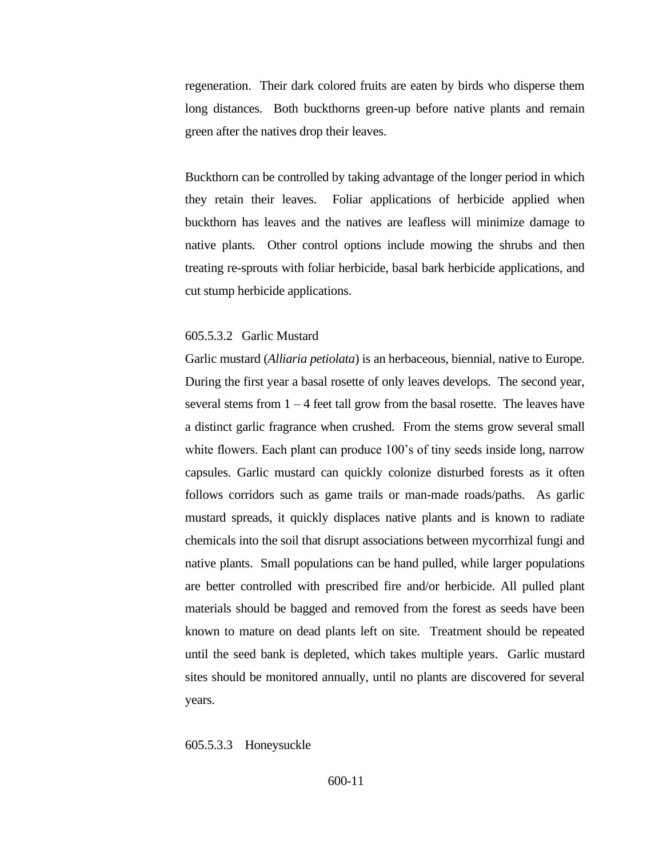regeneration. Their dark colored fruits are eaten by birds who disperse them long distances. Both buckthorns green-up before native plants and remain green after the natives drop their leaves.

Buckthorn can be controlled by taking advantage of the longer period in which they retain their leaves. Foliar applications of herbicide applied when buckthorn has leaves and the natives are leafless will minimize damage to native plants. Other control options include mowing the shrubs and then treating re-sprouts with foliar herbicide, basal bark herbicide applications, and cut stump herbicide applications.

## 605.5.3.2 Garlic Mustard

Garlic mustard (*Alliaria petiolata*) is an herbaceous, biennial, native to Europe. During the first year a basal rosette of only leaves develops. The second year, several stems from  $1 - 4$  feet tall grow from the basal rosette. The leaves have a distinct garlic fragrance when crushed. From the stems grow several small white flowers. Each plant can produce 100's of tiny seeds inside long, narrow capsules. Garlic mustard can quickly colonize disturbed forests as it often follows corridors such as game trails or man-made roads/paths. As garlic mustard spreads, it quickly displaces native plants and is known to radiate chemicals into the soil that disrupt associations between mycorrhizal fungi and native plants. Small populations can be hand pulled, while larger populations are better controlled with prescribed fire and/or herbicide. All pulled plant materials should be bagged and removed from the forest as seeds have been known to mature on dead plants left on site. Treatment should be repeated until the seed bank is depleted, which takes multiple years. Garlic mustard sites should be monitored annually, until no plants are discovered for several years.

#### 605.5.3.3 Honeysuckle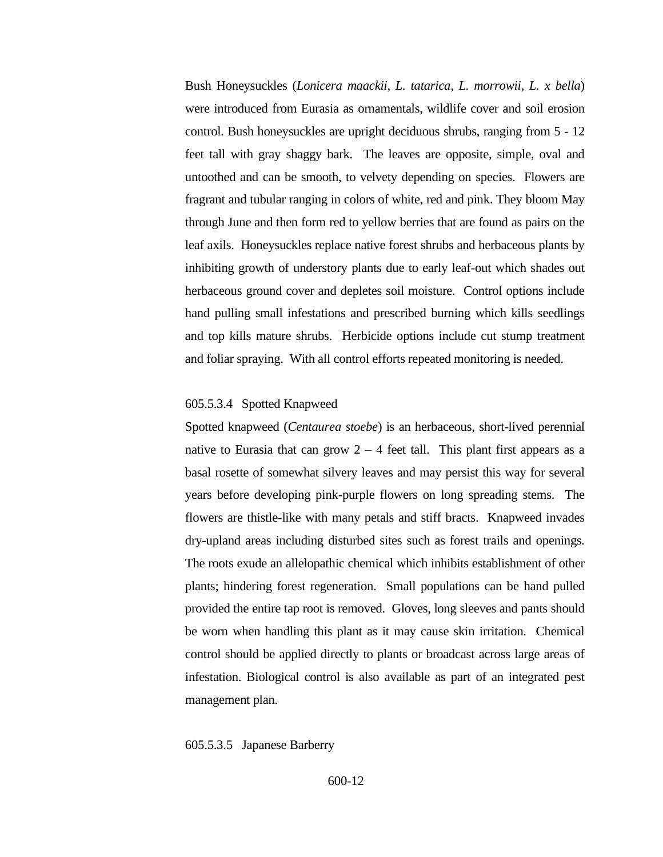Bush Honeysuckles (*Lonicera maackii, L. tatarica, L. morrowii, L. x bella*) were introduced from Eurasia as ornamentals, wildlife cover and soil erosion control. Bush honeysuckles are upright deciduous shrubs, ranging from 5 - 12 feet tall with gray shaggy bark. The leaves are opposite, simple, oval and untoothed and can be smooth, to velvety depending on species. Flowers are fragrant and tubular ranging in colors of white, red and pink. They bloom May through June and then form red to yellow berries that are found as pairs on the leaf axils. Honeysuckles replace native forest shrubs and herbaceous plants by inhibiting growth of understory plants due to early leaf-out which shades out herbaceous ground cover and depletes soil moisture. Control options include hand pulling small infestations and prescribed burning which kills seedlings and top kills mature shrubs. Herbicide options include cut stump treatment and foliar spraying. With all control efforts repeated monitoring is needed.

## 605.5.3.4 Spotted Knapweed

Spotted knapweed (*Centaurea stoebe*) is an herbaceous, short-lived perennial native to Eurasia that can grow  $2 - 4$  feet tall. This plant first appears as a basal rosette of somewhat silvery leaves and may persist this way for several years before developing pink-purple flowers on long spreading stems. The flowers are thistle-like with many petals and stiff bracts. Knapweed invades dry-upland areas including disturbed sites such as forest trails and openings. The roots exude an allelopathic chemical which inhibits establishment of other plants; hindering forest regeneration. Small populations can be hand pulled provided the entire tap root is removed. Gloves, long sleeves and pants should be worn when handling this plant as it may cause skin irritation. Chemical control should be applied directly to plants or broadcast across large areas of infestation. Biological control is also available as part of an integrated pest management plan.

#### 605.5.3.5 Japanese Barberry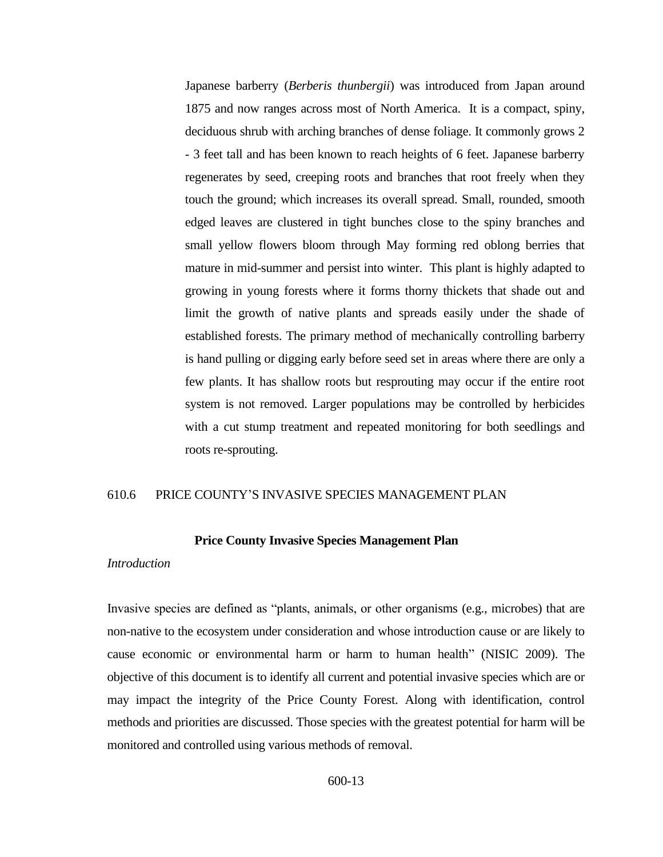Japanese barberry (*Berberis thunbergii*) was introduced from Japan around 1875 and now ranges across most of North America. It is a compact, spiny, deciduous shrub with arching branches of dense foliage. It commonly grows 2 - 3 feet tall and has been known to reach heights of 6 feet. Japanese barberry regenerates by seed, creeping roots and branches that root freely when they touch the ground; which increases its overall spread. Small, rounded, smooth edged leaves are clustered in tight bunches close to the spiny branches and small yellow flowers bloom through May forming red oblong berries that mature in mid-summer and persist into winter. This plant is highly adapted to growing in young forests where it forms thorny thickets that shade out and limit the growth of native plants and spreads easily under the shade of established forests. The primary method of mechanically controlling barberry is hand pulling or digging early before seed set in areas where there are only a few plants. It has shallow roots but resprouting may occur if the entire root system is not removed. Larger populations may be controlled by herbicides with a cut stump treatment and repeated monitoring for both seedlings and roots re-sprouting.

## <span id="page-12-0"></span>610.6 PRICE COUNTY'S INVASIVE SPECIES MANAGEMENT PLAN

#### **Price County Invasive Species Management Plan**

#### *Introduction*

Invasive species are defined as "plants, animals, or other organisms (e.g., microbes) that are non-native to the ecosystem under consideration and whose introduction cause or are likely to cause economic or environmental harm or harm to human health" (NISIC 2009). The objective of this document is to identify all current and potential invasive species which are or may impact the integrity of the Price County Forest. Along with identification, control methods and priorities are discussed. Those species with the greatest potential for harm will be monitored and controlled using various methods of removal.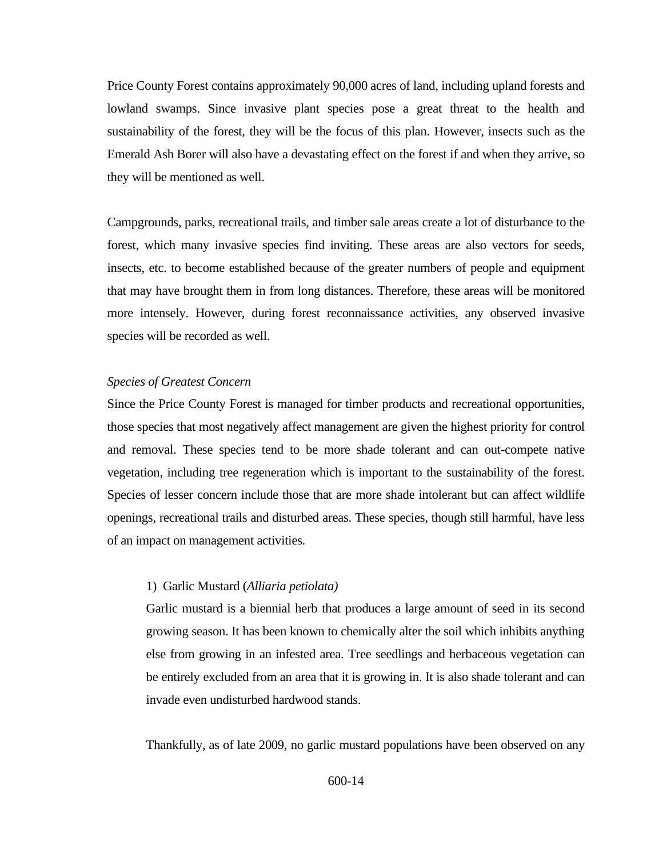Price County Forest contains approximately 90,000 acres of land, including upland forests and lowland swamps. Since invasive plant species pose a great threat to the health and sustainability of the forest, they will be the focus of this plan. However, insects such as the Emerald Ash Borer will also have a devastating effect on the forest if and when they arrive, so they will be mentioned as well.

Campgrounds, parks, recreational trails, and timber sale areas create a lot of disturbance to the forest, which many invasive species find inviting. These areas are also vectors for seeds, insects, etc. to become established because of the greater numbers of people and equipment that may have brought them in from long distances. Therefore, these areas will be monitored more intensely. However, during forest reconnaissance activities, any observed invasive species will be recorded as well.

## *Species of Greatest Concern*

Since the Price County Forest is managed for timber products and recreational opportunities, those species that most negatively affect management are given the highest priority for control and removal. These species tend to be more shade tolerant and can out-compete native vegetation, including tree regeneration which is important to the sustainability of the forest. Species of lesser concern include those that are more shade intolerant but can affect wildlife openings, recreational trails and disturbed areas. These species, though still harmful, have less of an impact on management activities.

#### 1) Garlic Mustard (*Alliaria petiolata)*

Garlic mustard is a biennial herb that produces a large amount of seed in its second growing season. It has been known to chemically alter the soil which inhibits anything else from growing in an infested area. Tree seedlings and herbaceous vegetation can be entirely excluded from an area that it is growing in. It is also shade tolerant and can invade even undisturbed hardwood stands.

Thankfully, as of late 2009, no garlic mustard populations have been observed on any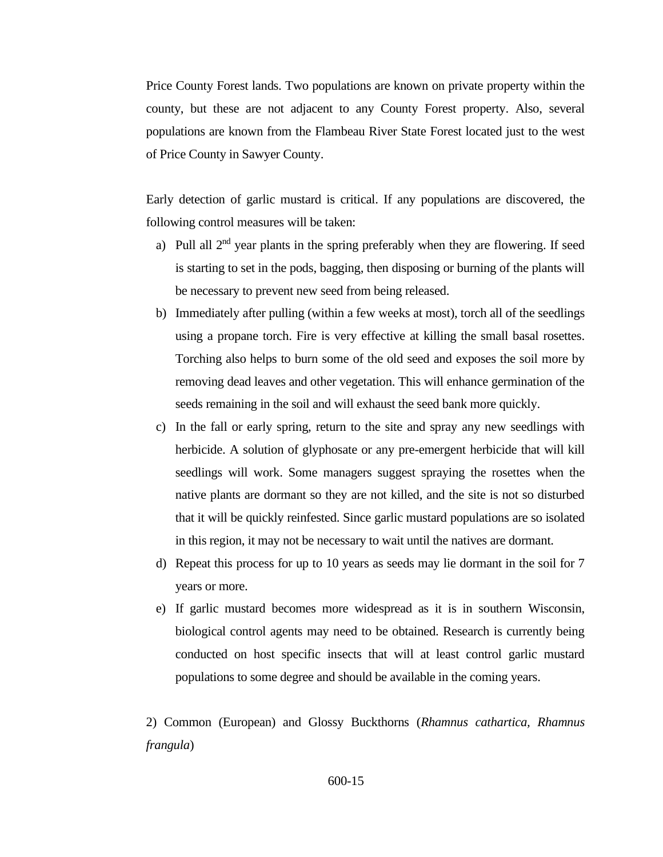Price County Forest lands. Two populations are known on private property within the county, but these are not adjacent to any County Forest property. Also, several populations are known from the Flambeau River State Forest located just to the west of Price County in Sawyer County.

Early detection of garlic mustard is critical. If any populations are discovered, the following control measures will be taken:

- a) Pull all  $2<sup>nd</sup>$  year plants in the spring preferably when they are flowering. If seed is starting to set in the pods, bagging, then disposing or burning of the plants will be necessary to prevent new seed from being released.
- b) Immediately after pulling (within a few weeks at most), torch all of the seedlings using a propane torch. Fire is very effective at killing the small basal rosettes. Torching also helps to burn some of the old seed and exposes the soil more by removing dead leaves and other vegetation. This will enhance germination of the seeds remaining in the soil and will exhaust the seed bank more quickly.
- c) In the fall or early spring, return to the site and spray any new seedlings with herbicide. A solution of glyphosate or any pre-emergent herbicide that will kill seedlings will work. Some managers suggest spraying the rosettes when the native plants are dormant so they are not killed, and the site is not so disturbed that it will be quickly reinfested. Since garlic mustard populations are so isolated in this region, it may not be necessary to wait until the natives are dormant.
- d) Repeat this process for up to 10 years as seeds may lie dormant in the soil for 7 years or more.
- e) If garlic mustard becomes more widespread as it is in southern Wisconsin, biological control agents may need to be obtained. Research is currently being conducted on host specific insects that will at least control garlic mustard populations to some degree and should be available in the coming years.

2) Common (European) and Glossy Buckthorns (*Rhamnus cathartica, Rhamnus frangula*)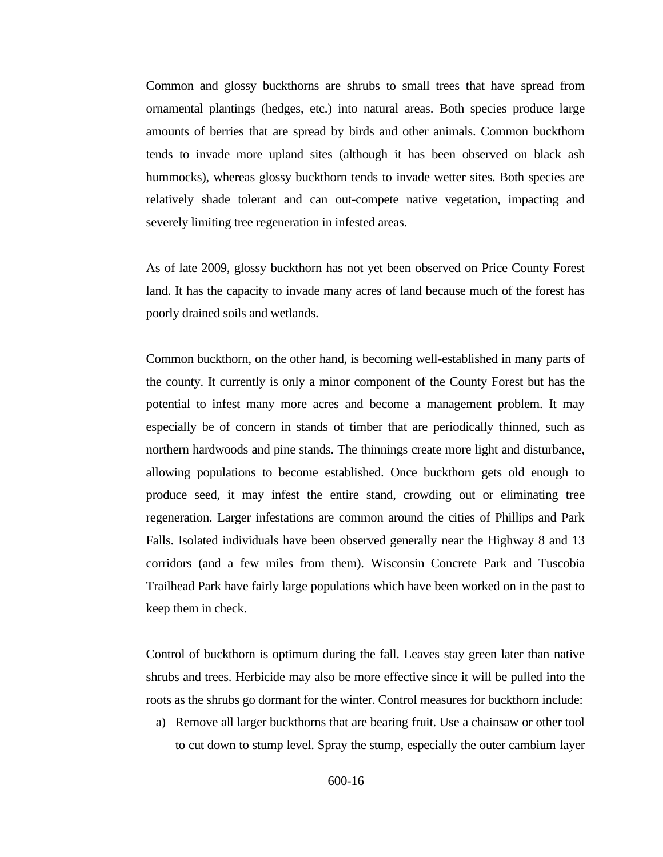Common and glossy buckthorns are shrubs to small trees that have spread from ornamental plantings (hedges, etc.) into natural areas. Both species produce large amounts of berries that are spread by birds and other animals. Common buckthorn tends to invade more upland sites (although it has been observed on black ash hummocks), whereas glossy buckthorn tends to invade wetter sites. Both species are relatively shade tolerant and can out-compete native vegetation, impacting and severely limiting tree regeneration in infested areas.

As of late 2009, glossy buckthorn has not yet been observed on Price County Forest land. It has the capacity to invade many acres of land because much of the forest has poorly drained soils and wetlands.

Common buckthorn, on the other hand, is becoming well-established in many parts of the county. It currently is only a minor component of the County Forest but has the potential to infest many more acres and become a management problem. It may especially be of concern in stands of timber that are periodically thinned, such as northern hardwoods and pine stands. The thinnings create more light and disturbance, allowing populations to become established. Once buckthorn gets old enough to produce seed, it may infest the entire stand, crowding out or eliminating tree regeneration. Larger infestations are common around the cities of Phillips and Park Falls. Isolated individuals have been observed generally near the Highway 8 and 13 corridors (and a few miles from them). Wisconsin Concrete Park and Tuscobia Trailhead Park have fairly large populations which have been worked on in the past to keep them in check.

Control of buckthorn is optimum during the fall. Leaves stay green later than native shrubs and trees. Herbicide may also be more effective since it will be pulled into the roots as the shrubs go dormant for the winter. Control measures for buckthorn include:

a) Remove all larger buckthorns that are bearing fruit. Use a chainsaw or other tool to cut down to stump level. Spray the stump, especially the outer cambium layer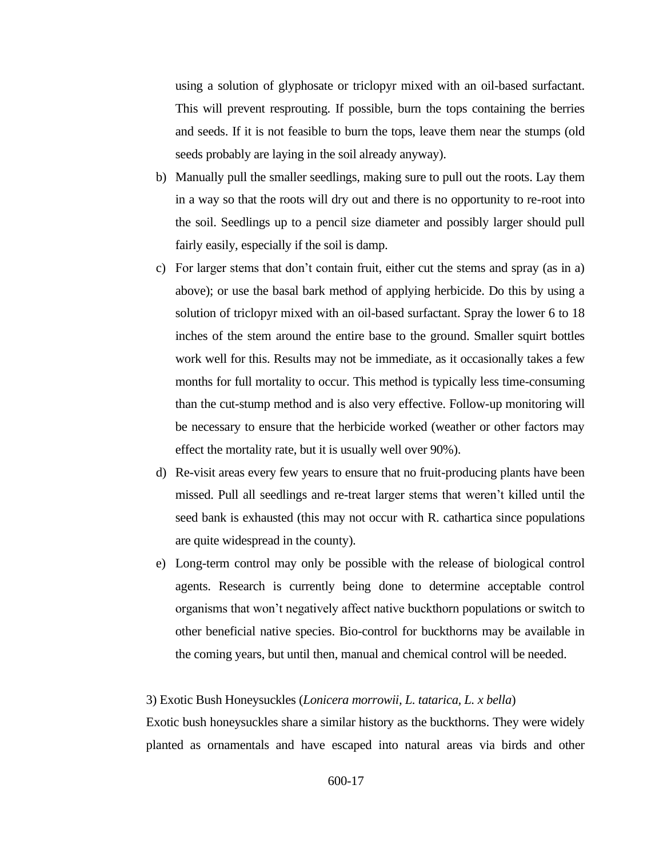using a solution of glyphosate or triclopyr mixed with an oil-based surfactant. This will prevent resprouting. If possible, burn the tops containing the berries and seeds. If it is not feasible to burn the tops, leave them near the stumps (old seeds probably are laying in the soil already anyway).

- b) Manually pull the smaller seedlings, making sure to pull out the roots. Lay them in a way so that the roots will dry out and there is no opportunity to re-root into the soil. Seedlings up to a pencil size diameter and possibly larger should pull fairly easily, especially if the soil is damp.
- c) For larger stems that don't contain fruit, either cut the stems and spray (as in a) above); or use the basal bark method of applying herbicide. Do this by using a solution of triclopyr mixed with an oil-based surfactant. Spray the lower 6 to 18 inches of the stem around the entire base to the ground. Smaller squirt bottles work well for this. Results may not be immediate, as it occasionally takes a few months for full mortality to occur. This method is typically less time-consuming than the cut-stump method and is also very effective. Follow-up monitoring will be necessary to ensure that the herbicide worked (weather or other factors may effect the mortality rate, but it is usually well over 90%).
- d) Re-visit areas every few years to ensure that no fruit-producing plants have been missed. Pull all seedlings and re-treat larger stems that weren't killed until the seed bank is exhausted (this may not occur with R. cathartica since populations are quite widespread in the county).
- e) Long-term control may only be possible with the release of biological control agents. Research is currently being done to determine acceptable control organisms that won't negatively affect native buckthorn populations or switch to other beneficial native species. Bio-control for buckthorns may be available in the coming years, but until then, manual and chemical control will be needed.

#### 3) Exotic Bush Honeysuckles (*Lonicera morrowii, L. tatarica, L. x bella*)

Exotic bush honeysuckles share a similar history as the buckthorns. They were widely planted as ornamentals and have escaped into natural areas via birds and other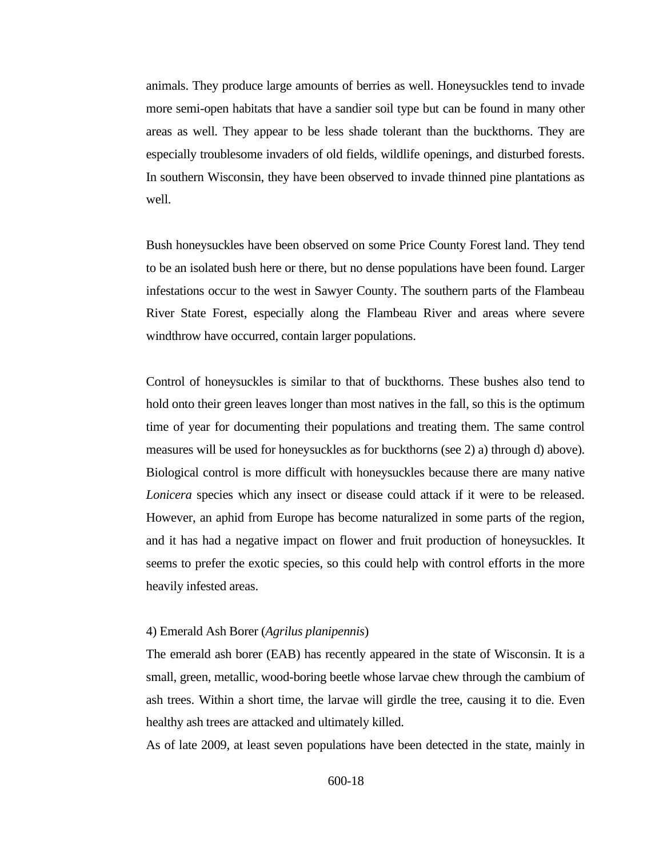animals. They produce large amounts of berries as well. Honeysuckles tend to invade more semi-open habitats that have a sandier soil type but can be found in many other areas as well. They appear to be less shade tolerant than the buckthorns. They are especially troublesome invaders of old fields, wildlife openings, and disturbed forests. In southern Wisconsin, they have been observed to invade thinned pine plantations as well.

Bush honeysuckles have been observed on some Price County Forest land. They tend to be an isolated bush here or there, but no dense populations have been found. Larger infestations occur to the west in Sawyer County. The southern parts of the Flambeau River State Forest, especially along the Flambeau River and areas where severe windthrow have occurred, contain larger populations.

Control of honeysuckles is similar to that of buckthorns. These bushes also tend to hold onto their green leaves longer than most natives in the fall, so this is the optimum time of year for documenting their populations and treating them. The same control measures will be used for honeysuckles as for buckthorns (see 2) a) through d) above). Biological control is more difficult with honeysuckles because there are many native *Lonicera* species which any insect or disease could attack if it were to be released. However, an aphid from Europe has become naturalized in some parts of the region, and it has had a negative impact on flower and fruit production of honeysuckles. It seems to prefer the exotic species, so this could help with control efforts in the more heavily infested areas.

## 4) Emerald Ash Borer (*Agrilus planipennis*)

The emerald ash borer (EAB) has recently appeared in the state of Wisconsin. It is a small, green, metallic, wood-boring beetle whose larvae chew through the cambium of ash trees. Within a short time, the larvae will girdle the tree, causing it to die. Even healthy ash trees are attacked and ultimately killed.

As of late 2009, at least seven populations have been detected in the state, mainly in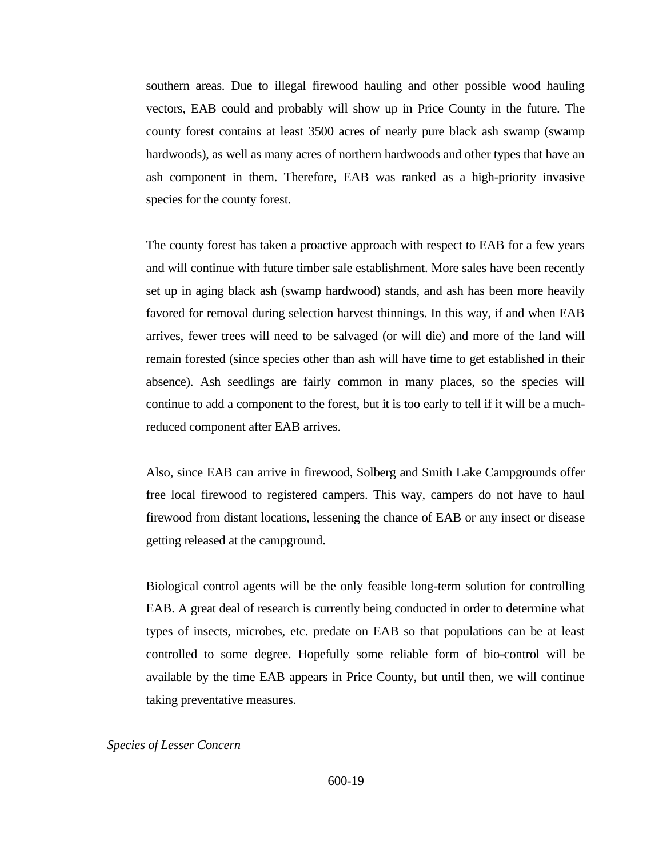southern areas. Due to illegal firewood hauling and other possible wood hauling vectors, EAB could and probably will show up in Price County in the future. The county forest contains at least 3500 acres of nearly pure black ash swamp (swamp hardwoods), as well as many acres of northern hardwoods and other types that have an ash component in them. Therefore, EAB was ranked as a high-priority invasive species for the county forest.

The county forest has taken a proactive approach with respect to EAB for a few years and will continue with future timber sale establishment. More sales have been recently set up in aging black ash (swamp hardwood) stands, and ash has been more heavily favored for removal during selection harvest thinnings. In this way, if and when EAB arrives, fewer trees will need to be salvaged (or will die) and more of the land will remain forested (since species other than ash will have time to get established in their absence). Ash seedlings are fairly common in many places, so the species will continue to add a component to the forest, but it is too early to tell if it will be a muchreduced component after EAB arrives.

Also, since EAB can arrive in firewood, Solberg and Smith Lake Campgrounds offer free local firewood to registered campers. This way, campers do not have to haul firewood from distant locations, lessening the chance of EAB or any insect or disease getting released at the campground.

Biological control agents will be the only feasible long-term solution for controlling EAB. A great deal of research is currently being conducted in order to determine what types of insects, microbes, etc. predate on EAB so that populations can be at least controlled to some degree. Hopefully some reliable form of bio-control will be available by the time EAB appears in Price County, but until then, we will continue taking preventative measures.

## *Species of Lesser Concern*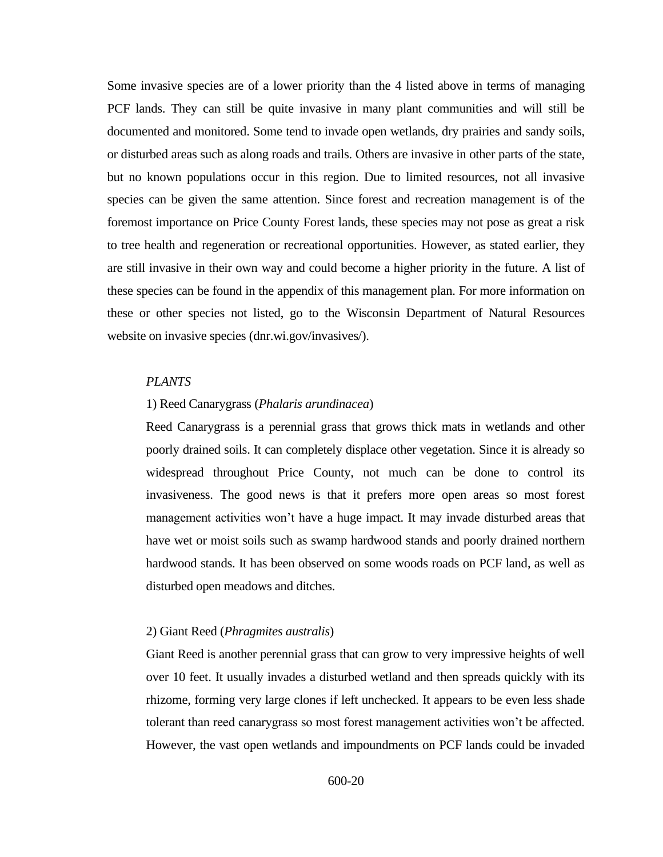Some invasive species are of a lower priority than the 4 listed above in terms of managing PCF lands. They can still be quite invasive in many plant communities and will still be documented and monitored. Some tend to invade open wetlands, dry prairies and sandy soils, or disturbed areas such as along roads and trails. Others are invasive in other parts of the state, but no known populations occur in this region. Due to limited resources, not all invasive species can be given the same attention. Since forest and recreation management is of the foremost importance on Price County Forest lands, these species may not pose as great a risk to tree health and regeneration or recreational opportunities. However, as stated earlier, they are still invasive in their own way and could become a higher priority in the future. A list of these species can be found in the appendix of this management plan. For more information on these or other species not listed, go to the Wisconsin Department of Natural Resources website on invasive species (dnr.wi.gov/invasives/).

### *PLANTS*

## 1) Reed Canarygrass (*Phalaris arundinacea*)

Reed Canarygrass is a perennial grass that grows thick mats in wetlands and other poorly drained soils. It can completely displace other vegetation. Since it is already so widespread throughout Price County, not much can be done to control its invasiveness. The good news is that it prefers more open areas so most forest management activities won't have a huge impact. It may invade disturbed areas that have wet or moist soils such as swamp hardwood stands and poorly drained northern hardwood stands. It has been observed on some woods roads on PCF land, as well as disturbed open meadows and ditches.

#### 2) Giant Reed (*Phragmites australis*)

Giant Reed is another perennial grass that can grow to very impressive heights of well over 10 feet. It usually invades a disturbed wetland and then spreads quickly with its rhizome, forming very large clones if left unchecked. It appears to be even less shade tolerant than reed canarygrass so most forest management activities won't be affected. However, the vast open wetlands and impoundments on PCF lands could be invaded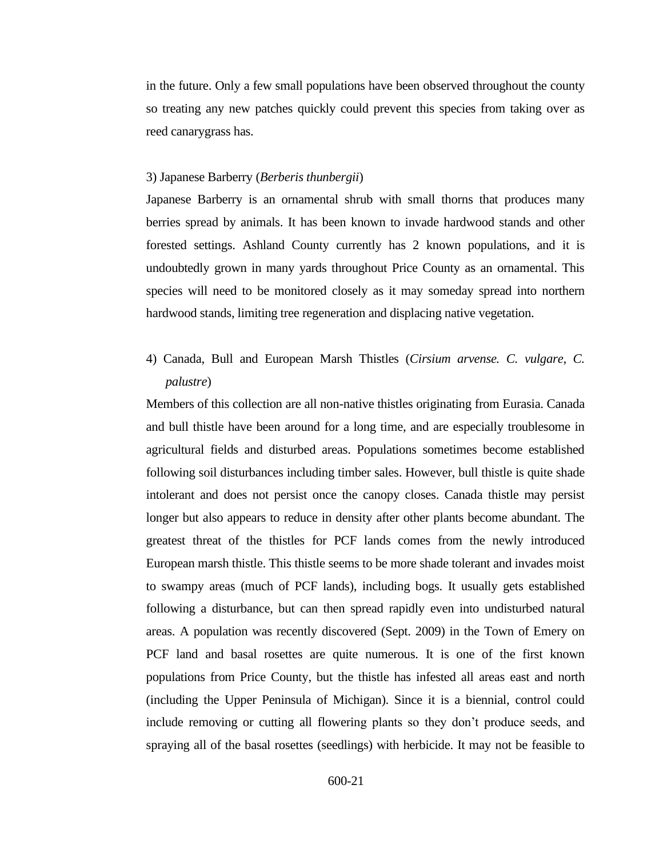in the future. Only a few small populations have been observed throughout the county so treating any new patches quickly could prevent this species from taking over as reed canarygrass has.

#### 3) Japanese Barberry (*Berberis thunbergii*)

Japanese Barberry is an ornamental shrub with small thorns that produces many berries spread by animals. It has been known to invade hardwood stands and other forested settings. Ashland County currently has 2 known populations, and it is undoubtedly grown in many yards throughout Price County as an ornamental. This species will need to be monitored closely as it may someday spread into northern hardwood stands, limiting tree regeneration and displacing native vegetation.

4) Canada, Bull and European Marsh Thistles (*Cirsium arvense. C. vulgare, C. palustre*)

Members of this collection are all non-native thistles originating from Eurasia. Canada and bull thistle have been around for a long time, and are especially troublesome in agricultural fields and disturbed areas. Populations sometimes become established following soil disturbances including timber sales. However, bull thistle is quite shade intolerant and does not persist once the canopy closes. Canada thistle may persist longer but also appears to reduce in density after other plants become abundant. The greatest threat of the thistles for PCF lands comes from the newly introduced European marsh thistle. This thistle seems to be more shade tolerant and invades moist to swampy areas (much of PCF lands), including bogs. It usually gets established following a disturbance, but can then spread rapidly even into undisturbed natural areas. A population was recently discovered (Sept. 2009) in the Town of Emery on PCF land and basal rosettes are quite numerous. It is one of the first known populations from Price County, but the thistle has infested all areas east and north (including the Upper Peninsula of Michigan). Since it is a biennial, control could include removing or cutting all flowering plants so they don't produce seeds, and spraying all of the basal rosettes (seedlings) with herbicide. It may not be feasible to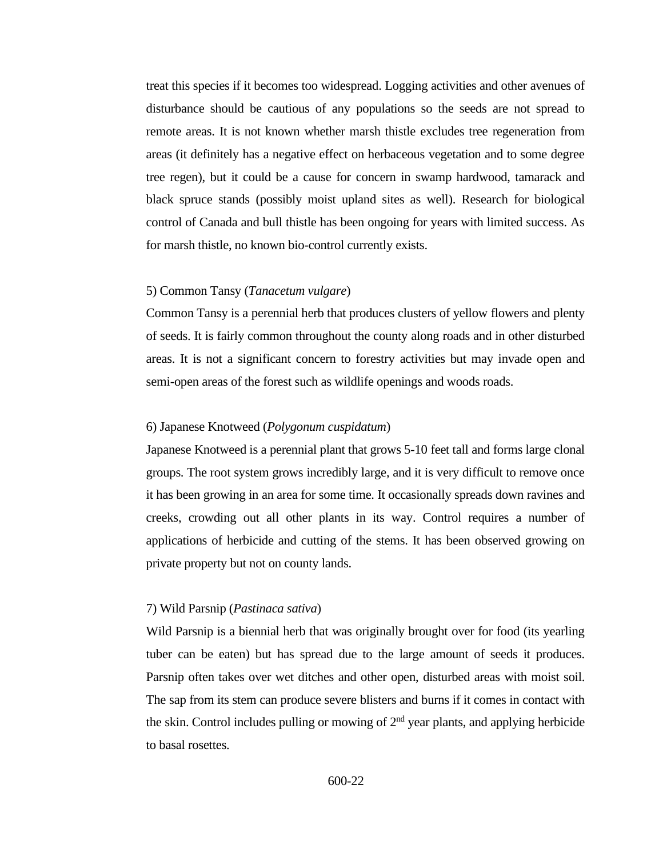treat this species if it becomes too widespread. Logging activities and other avenues of disturbance should be cautious of any populations so the seeds are not spread to remote areas. It is not known whether marsh thistle excludes tree regeneration from areas (it definitely has a negative effect on herbaceous vegetation and to some degree tree regen), but it could be a cause for concern in swamp hardwood, tamarack and black spruce stands (possibly moist upland sites as well). Research for biological control of Canada and bull thistle has been ongoing for years with limited success. As for marsh thistle, no known bio-control currently exists.

#### 5) Common Tansy (*Tanacetum vulgare*)

Common Tansy is a perennial herb that produces clusters of yellow flowers and plenty of seeds. It is fairly common throughout the county along roads and in other disturbed areas. It is not a significant concern to forestry activities but may invade open and semi-open areas of the forest such as wildlife openings and woods roads.

#### 6) Japanese Knotweed (*Polygonum cuspidatum*)

Japanese Knotweed is a perennial plant that grows 5-10 feet tall and forms large clonal groups. The root system grows incredibly large, and it is very difficult to remove once it has been growing in an area for some time. It occasionally spreads down ravines and creeks, crowding out all other plants in its way. Control requires a number of applications of herbicide and cutting of the stems. It has been observed growing on private property but not on county lands.

#### 7) Wild Parsnip (*Pastinaca sativa*)

Wild Parsnip is a biennial herb that was originally brought over for food (its yearling tuber can be eaten) but has spread due to the large amount of seeds it produces. Parsnip often takes over wet ditches and other open, disturbed areas with moist soil. The sap from its stem can produce severe blisters and burns if it comes in contact with the skin. Control includes pulling or mowing of  $2<sup>nd</sup>$  year plants, and applying herbicide to basal rosettes.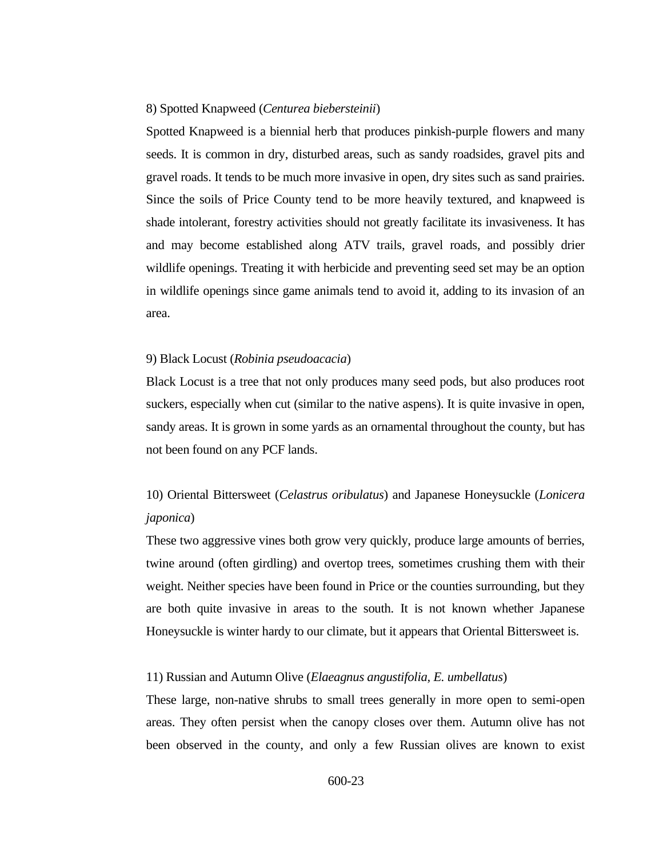#### 8) Spotted Knapweed (*Centurea biebersteinii*)

Spotted Knapweed is a biennial herb that produces pinkish-purple flowers and many seeds. It is common in dry, disturbed areas, such as sandy roadsides, gravel pits and gravel roads. It tends to be much more invasive in open, dry sites such as sand prairies. Since the soils of Price County tend to be more heavily textured, and knapweed is shade intolerant, forestry activities should not greatly facilitate its invasiveness. It has and may become established along ATV trails, gravel roads, and possibly drier wildlife openings. Treating it with herbicide and preventing seed set may be an option in wildlife openings since game animals tend to avoid it, adding to its invasion of an area.

#### 9) Black Locust (*Robinia pseudoacacia*)

Black Locust is a tree that not only produces many seed pods, but also produces root suckers, especially when cut (similar to the native aspens). It is quite invasive in open, sandy areas. It is grown in some yards as an ornamental throughout the county, but has not been found on any PCF lands.

# 10) Oriental Bittersweet (*Celastrus oribulatus*) and Japanese Honeysuckle (*Lonicera japonica*)

These two aggressive vines both grow very quickly, produce large amounts of berries, twine around (often girdling) and overtop trees, sometimes crushing them with their weight. Neither species have been found in Price or the counties surrounding, but they are both quite invasive in areas to the south. It is not known whether Japanese Honeysuckle is winter hardy to our climate, but it appears that Oriental Bittersweet is.

## 11) Russian and Autumn Olive (*Elaeagnus angustifolia, E. umbellatus*)

These large, non-native shrubs to small trees generally in more open to semi-open areas. They often persist when the canopy closes over them. Autumn olive has not been observed in the county, and only a few Russian olives are known to exist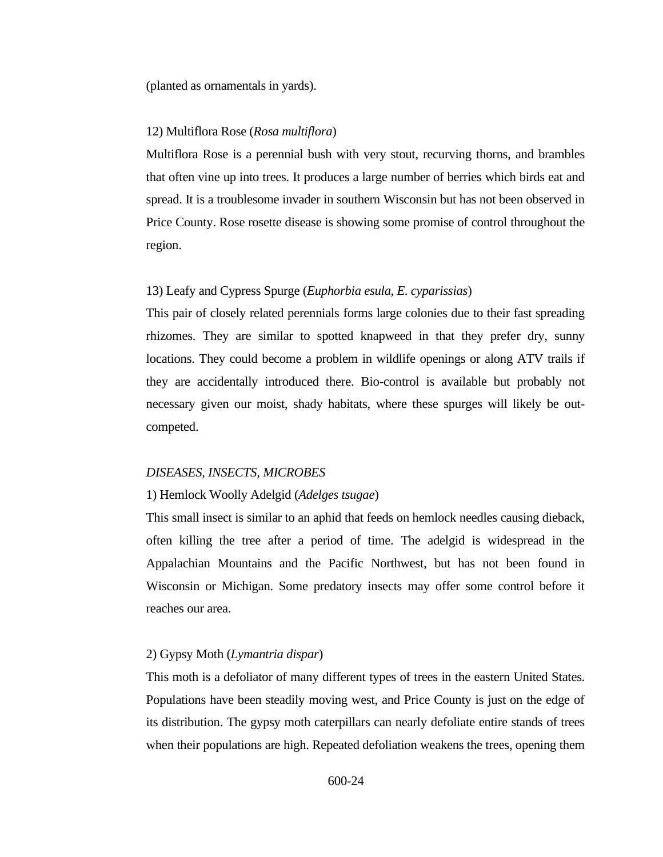(planted as ornamentals in yards).

## 12) Multiflora Rose (*Rosa multiflora*)

Multiflora Rose is a perennial bush with very stout, recurving thorns, and brambles that often vine up into trees. It produces a large number of berries which birds eat and spread. It is a troublesome invader in southern Wisconsin but has not been observed in Price County. Rose rosette disease is showing some promise of control throughout the region.

#### 13) Leafy and Cypress Spurge (*Euphorbia esula, E. cyparissias*)

This pair of closely related perennials forms large colonies due to their fast spreading rhizomes. They are similar to spotted knapweed in that they prefer dry, sunny locations. They could become a problem in wildlife openings or along ATV trails if they are accidentally introduced there. Bio-control is available but probably not necessary given our moist, shady habitats, where these spurges will likely be outcompeted.

#### *DISEASES, INSECTS, MICROBES*

#### 1) Hemlock Woolly Adelgid (*Adelges tsugae*)

This small insect is similar to an aphid that feeds on hemlock needles causing dieback, often killing the tree after a period of time. The adelgid is widespread in the Appalachian Mountains and the Pacific Northwest, but has not been found in Wisconsin or Michigan. Some predatory insects may offer some control before it reaches our area.

## 2) Gypsy Moth (*Lymantria dispar*)

This moth is a defoliator of many different types of trees in the eastern United States. Populations have been steadily moving west, and Price County is just on the edge of its distribution. The gypsy moth caterpillars can nearly defoliate entire stands of trees when their populations are high. Repeated defoliation weakens the trees, opening them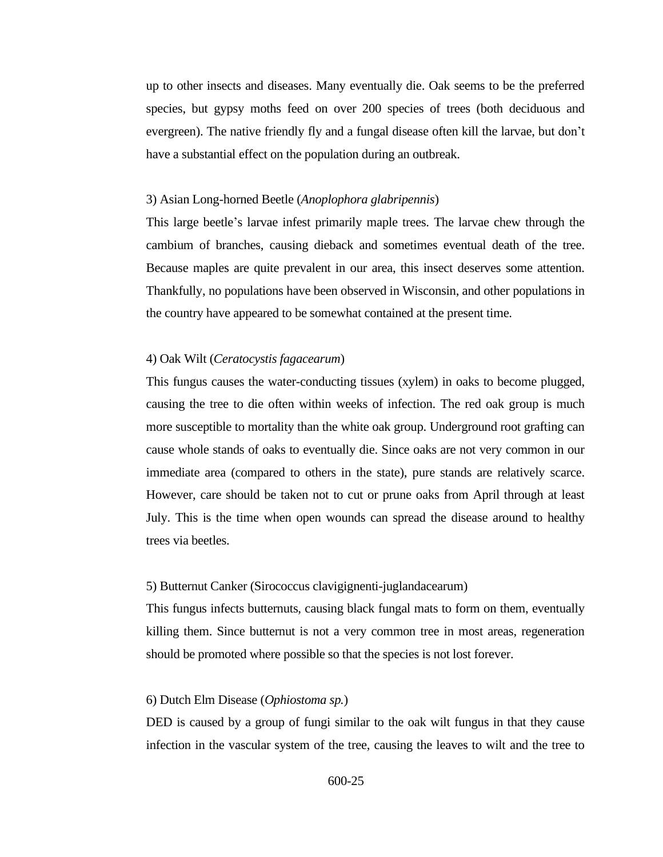up to other insects and diseases. Many eventually die. Oak seems to be the preferred species, but gypsy moths feed on over 200 species of trees (both deciduous and evergreen). The native friendly fly and a fungal disease often kill the larvae, but don't have a substantial effect on the population during an outbreak.

#### 3) Asian Long-horned Beetle (*Anoplophora glabripennis*)

This large beetle's larvae infest primarily maple trees. The larvae chew through the cambium of branches, causing dieback and sometimes eventual death of the tree. Because maples are quite prevalent in our area, this insect deserves some attention. Thankfully, no populations have been observed in Wisconsin, and other populations in the country have appeared to be somewhat contained at the present time.

## 4) Oak Wilt (*Ceratocystis fagacearum*)

This fungus causes the water-conducting tissues (xylem) in oaks to become plugged, causing the tree to die often within weeks of infection. The red oak group is much more susceptible to mortality than the white oak group. Underground root grafting can cause whole stands of oaks to eventually die. Since oaks are not very common in our immediate area (compared to others in the state), pure stands are relatively scarce. However, care should be taken not to cut or prune oaks from April through at least July. This is the time when open wounds can spread the disease around to healthy trees via beetles.

#### 5) Butternut Canker (Sirococcus clavigignenti-juglandacearum)

This fungus infects butternuts, causing black fungal mats to form on them, eventually killing them. Since butternut is not a very common tree in most areas, regeneration should be promoted where possible so that the species is not lost forever.

#### 6) Dutch Elm Disease (*Ophiostoma sp.*)

DED is caused by a group of fungi similar to the oak wilt fungus in that they cause infection in the vascular system of the tree, causing the leaves to wilt and the tree to